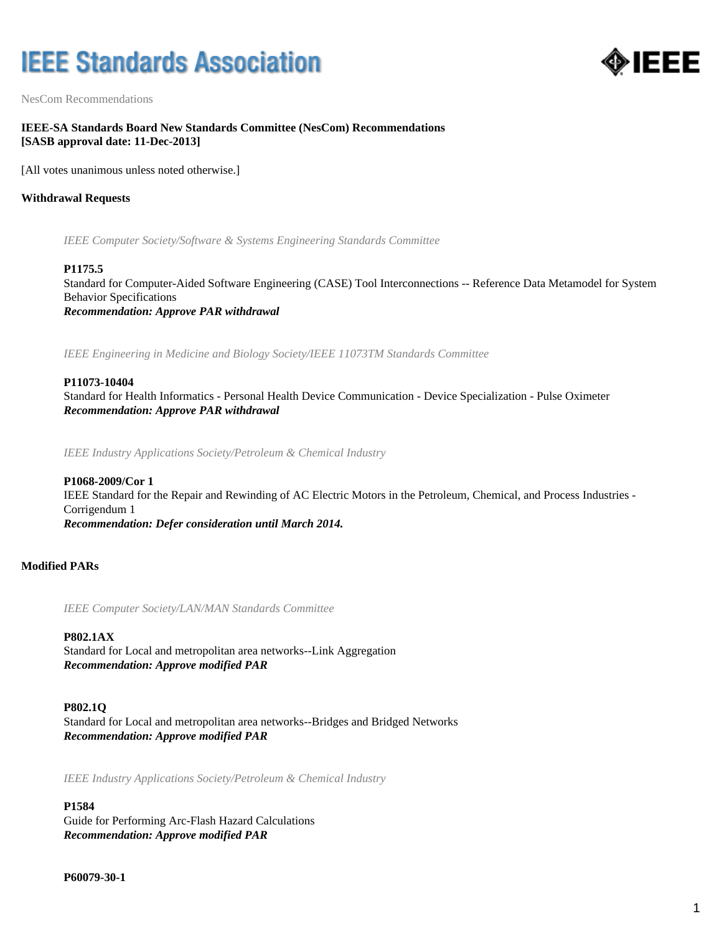# **IEEE Standards Association**



NesCom Recommendations

# **IEEE-SA Standards Board New Standards Committee (NesCom) Recommendations [SASB approval date: 11-Dec-2013]**

[All votes unanimous unless noted otherwise.]

### **Withdrawal Requests**

*IEEE Computer Society/Software & Systems Engineering Standards Committee*

#### **P1175.5**

Standard for Computer-Aided Software Engineering (CASE) Tool Interconnections -- Reference Data Metamodel for System Behavior Specifications *Recommendation: Approve PAR withdrawal*

*IEEE Engineering in Medicine and Biology Society/IEEE 11073TM Standards Committee*

#### **P11073-10404**

Standard for Health Informatics - Personal Health Device Communication - Device Specialization - Pulse Oximeter *Recommendation: Approve PAR withdrawal*

*IEEE Industry Applications Society/Petroleum & Chemical Industry*

### **P1068-2009/Cor 1**

IEEE Standard for the Repair and Rewinding of AC Electric Motors in the Petroleum, Chemical, and Process Industries - Corrigendum 1

*Recommendation: Defer consideration until March 2014.*

### **Modified PARs**

*IEEE Computer Society/LAN/MAN Standards Committee*

### **P802.1AX**

Standard for Local and metropolitan area networks--Link Aggregation *Recommendation: Approve modified PAR*

#### **P802.1Q**

Standard for Local and metropolitan area networks--Bridges and Bridged Networks *Recommendation: Approve modified PAR*

*IEEE Industry Applications Society/Petroleum & Chemical Industry*

#### **P1584**

Guide for Performing Arc-Flash Hazard Calculations *Recommendation: Approve modified PAR*

**P60079-30-1**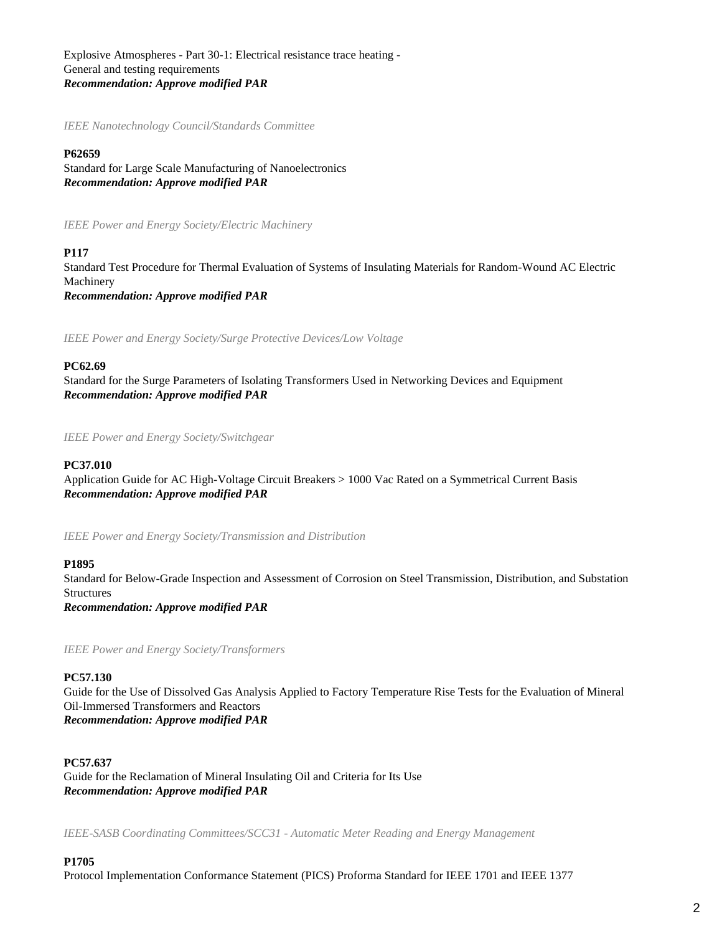Explosive Atmospheres - Part 30-1: Electrical resistance trace heating - General and testing requirements *Recommendation: Approve modified PAR*

*IEEE Nanotechnology Council/Standards Committee*

#### **P62659**

Standard for Large Scale Manufacturing of Nanoelectronics *Recommendation: Approve modified PAR*

*IEEE Power and Energy Society/Electric Machinery*

#### **P117**

Standard Test Procedure for Thermal Evaluation of Systems of Insulating Materials for Random-Wound AC Electric Machinery *Recommendation: Approve modified PAR*

*IEEE Power and Energy Society/Surge Protective Devices/Low Voltage*

#### **PC62.69**

Standard for the Surge Parameters of Isolating Transformers Used in Networking Devices and Equipment *Recommendation: Approve modified PAR*

*IEEE Power and Energy Society/Switchgear*

#### **PC37.010**

Application Guide for AC High-Voltage Circuit Breakers > 1000 Vac Rated on a Symmetrical Current Basis *Recommendation: Approve modified PAR*

*IEEE Power and Energy Society/Transmission and Distribution*

#### **P1895**

Standard for Below-Grade Inspection and Assessment of Corrosion on Steel Transmission, Distribution, and Substation Structures

*Recommendation: Approve modified PAR*

*IEEE Power and Energy Society/Transformers*

#### **PC57.130**

Guide for the Use of Dissolved Gas Analysis Applied to Factory Temperature Rise Tests for the Evaluation of Mineral Oil-Immersed Transformers and Reactors *Recommendation: Approve modified PAR*

**PC57.637**

Guide for the Reclamation of Mineral Insulating Oil and Criteria for Its Use *Recommendation: Approve modified PAR*

*IEEE-SASB Coordinating Committees/SCC31 - Automatic Meter Reading and Energy Management*

#### **P1705**

Protocol Implementation Conformance Statement (PICS) Proforma Standard for IEEE 1701 and IEEE 1377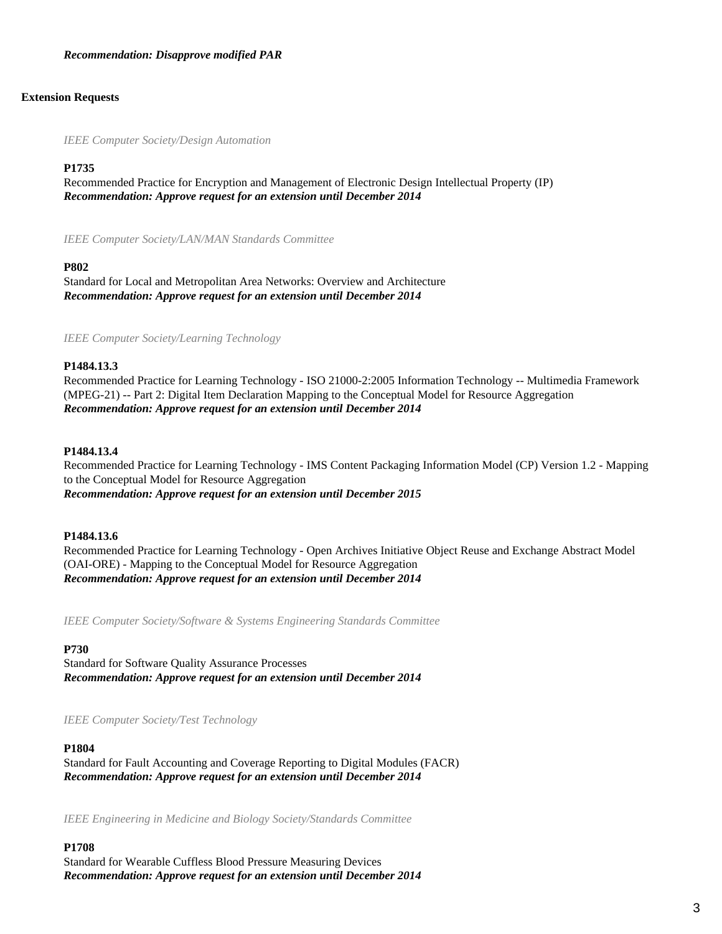#### *Recommendation: Disapprove modified PAR*

#### **Extension Requests**

*IEEE Computer Society/Design Automation*

### **P1735**

Recommended Practice for Encryption and Management of Electronic Design Intellectual Property (IP) *Recommendation: Approve request for an extension until December 2014*

*IEEE Computer Society/LAN/MAN Standards Committee*

#### **P802**

Standard for Local and Metropolitan Area Networks: Overview and Architecture *Recommendation: Approve request for an extension until December 2014*

*IEEE Computer Society/Learning Technology*

#### **P1484.13.3**

Recommended Practice for Learning Technology - ISO 21000-2:2005 Information Technology -- Multimedia Framework (MPEG-21) -- Part 2: Digital Item Declaration Mapping to the Conceptual Model for Resource Aggregation *Recommendation: Approve request for an extension until December 2014*

#### **P1484.13.4**

Recommended Practice for Learning Technology - IMS Content Packaging Information Model (CP) Version 1.2 - Mapping to the Conceptual Model for Resource Aggregation *Recommendation: Approve request for an extension until December 2015*

#### **P1484.13.6**

Recommended Practice for Learning Technology - Open Archives Initiative Object Reuse and Exchange Abstract Model (OAI-ORE) - Mapping to the Conceptual Model for Resource Aggregation *Recommendation: Approve request for an extension until December 2014*

*IEEE Computer Society/Software & Systems Engineering Standards Committee*

#### **P730**

Standard for Software Quality Assurance Processes *Recommendation: Approve request for an extension until December 2014*

*IEEE Computer Society/Test Technology*

#### **P1804**

Standard for Fault Accounting and Coverage Reporting to Digital Modules (FACR) *Recommendation: Approve request for an extension until December 2014*

*IEEE Engineering in Medicine and Biology Society/Standards Committee*

#### **P1708**

Standard for Wearable Cuffless Blood Pressure Measuring Devices *Recommendation: Approve request for an extension until December 2014*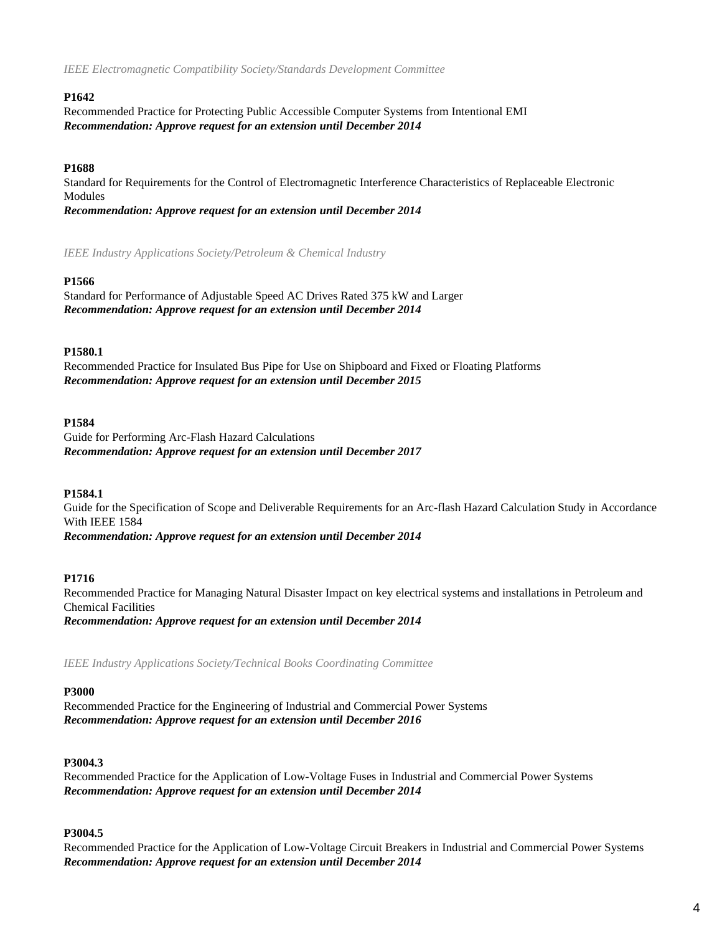*IEEE Electromagnetic Compatibility Society/Standards Development Committee*

# **P1642**

Recommended Practice for Protecting Public Accessible Computer Systems from Intentional EMI *Recommendation: Approve request for an extension until December 2014*

# **P1688**

Standard for Requirements for the Control of Electromagnetic Interference Characteristics of Replaceable Electronic Modules

*Recommendation: Approve request for an extension until December 2014*

*IEEE Industry Applications Society/Petroleum & Chemical Industry*

# **P1566**

Standard for Performance of Adjustable Speed AC Drives Rated 375 kW and Larger *Recommendation: Approve request for an extension until December 2014*

# **P1580.1**

Recommended Practice for Insulated Bus Pipe for Use on Shipboard and Fixed or Floating Platforms *Recommendation: Approve request for an extension until December 2015*

# **P1584**

Guide for Performing Arc-Flash Hazard Calculations *Recommendation: Approve request for an extension until December 2017*

# **P1584.1**

Guide for the Specification of Scope and Deliverable Requirements for an Arc-flash Hazard Calculation Study in Accordance With IEEE 1584 *Recommendation: Approve request for an extension until December 2014*

# **P1716**

Recommended Practice for Managing Natural Disaster Impact on key electrical systems and installations in Petroleum and Chemical Facilities *Recommendation: Approve request for an extension until December 2014*

*IEEE Industry Applications Society/Technical Books Coordinating Committee*

# **P3000**

Recommended Practice for the Engineering of Industrial and Commercial Power Systems *Recommendation: Approve request for an extension until December 2016*

# **P3004.3**

Recommended Practice for the Application of Low-Voltage Fuses in Industrial and Commercial Power Systems *Recommendation: Approve request for an extension until December 2014*

# **P3004.5**

Recommended Practice for the Application of Low-Voltage Circuit Breakers in Industrial and Commercial Power Systems *Recommendation: Approve request for an extension until December 2014*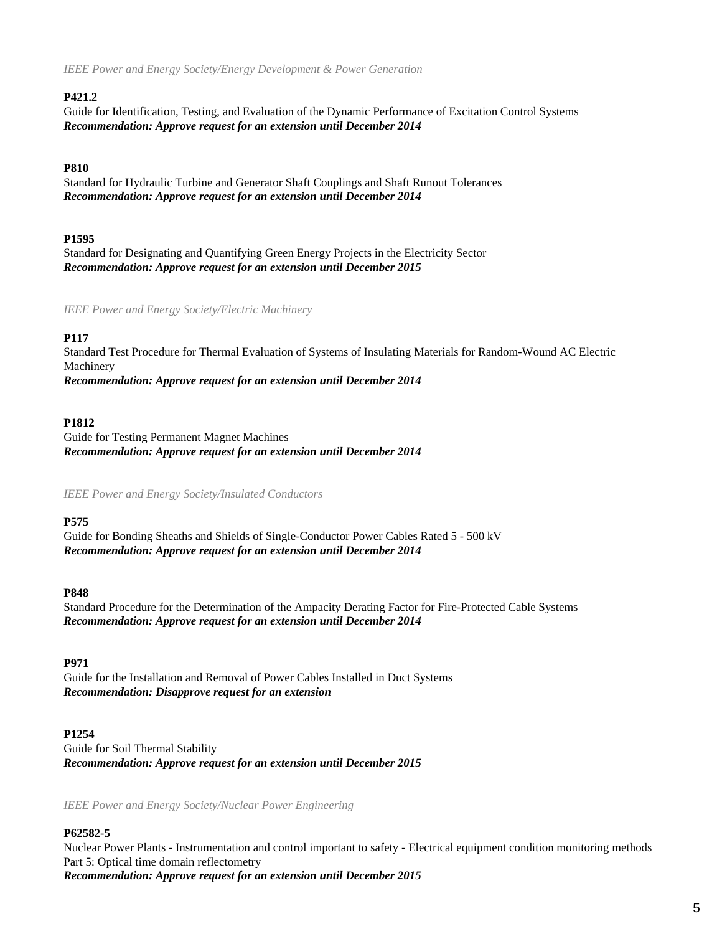*IEEE Power and Energy Society/Energy Development & Power Generation*

# **P421.2**

Guide for Identification, Testing, and Evaluation of the Dynamic Performance of Excitation Control Systems *Recommendation: Approve request for an extension until December 2014*

# **P810**

Standard for Hydraulic Turbine and Generator Shaft Couplings and Shaft Runout Tolerances *Recommendation: Approve request for an extension until December 2014*

# **P1595**

Standard for Designating and Quantifying Green Energy Projects in the Electricity Sector *Recommendation: Approve request for an extension until December 2015*

*IEEE Power and Energy Society/Electric Machinery*

# **P117**

Standard Test Procedure for Thermal Evaluation of Systems of Insulating Materials for Random-Wound AC Electric Machinery *Recommendation: Approve request for an extension until December 2014*

# **P1812**

Guide for Testing Permanent Magnet Machines *Recommendation: Approve request for an extension until December 2014*

*IEEE Power and Energy Society/Insulated Conductors*

# **P575**

Guide for Bonding Sheaths and Shields of Single-Conductor Power Cables Rated 5 - 500 kV *Recommendation: Approve request for an extension until December 2014*

# **P848**

Standard Procedure for the Determination of the Ampacity Derating Factor for Fire-Protected Cable Systems *Recommendation: Approve request for an extension until December 2014*

# **P971**

Guide for the Installation and Removal of Power Cables Installed in Duct Systems *Recommendation: Disapprove request for an extension*

# **P1254**

Guide for Soil Thermal Stability *Recommendation: Approve request for an extension until December 2015*

*IEEE Power and Energy Society/Nuclear Power Engineering*

# **P62582-5**

Nuclear Power Plants - Instrumentation and control important to safety - Electrical equipment condition monitoring methods Part 5: Optical time domain reflectometry

*Recommendation: Approve request for an extension until December 2015*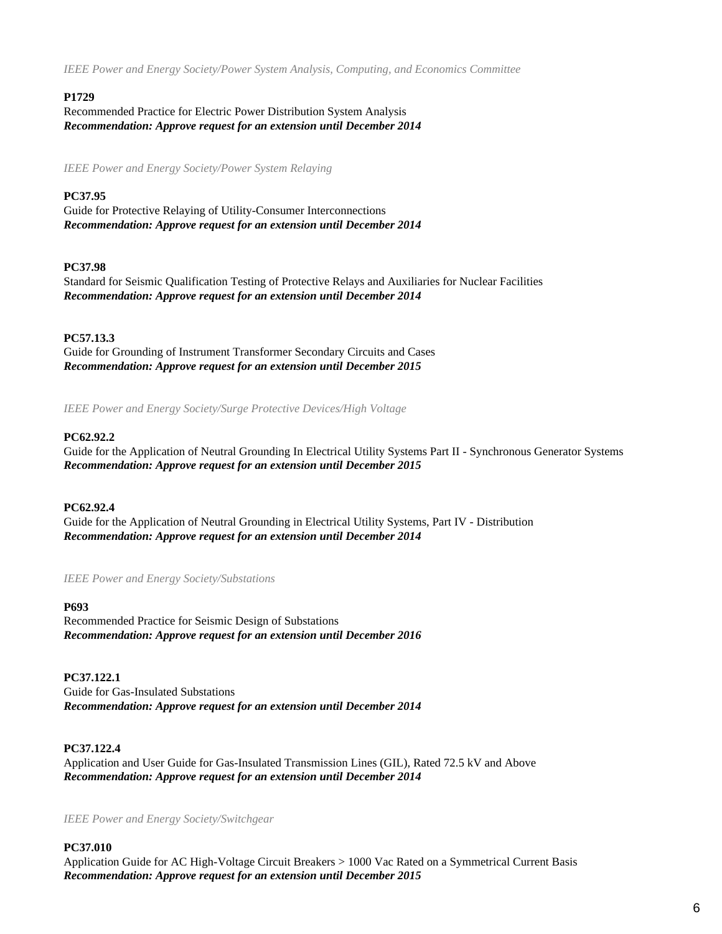*IEEE Power and Energy Society/Power System Analysis, Computing, and Economics Committee*

# **P1729**

Recommended Practice for Electric Power Distribution System Analysis *Recommendation: Approve request for an extension until December 2014*

*IEEE Power and Energy Society/Power System Relaying*

# **PC37.95**

Guide for Protective Relaying of Utility-Consumer Interconnections *Recommendation: Approve request for an extension until December 2014*

# **PC37.98**

Standard for Seismic Qualification Testing of Protective Relays and Auxiliaries for Nuclear Facilities *Recommendation: Approve request for an extension until December 2014*

# **PC57.13.3**

Guide for Grounding of Instrument Transformer Secondary Circuits and Cases *Recommendation: Approve request for an extension until December 2015*

*IEEE Power and Energy Society/Surge Protective Devices/High Voltage*

# **PC62.92.2**

Guide for the Application of Neutral Grounding In Electrical Utility Systems Part II - Synchronous Generator Systems *Recommendation: Approve request for an extension until December 2015*

# **PC62.92.4**

Guide for the Application of Neutral Grounding in Electrical Utility Systems, Part IV - Distribution *Recommendation: Approve request for an extension until December 2014*

# *IEEE Power and Energy Society/Substations*

**P693**

Recommended Practice for Seismic Design of Substations *Recommendation: Approve request for an extension until December 2016*

**PC37.122.1** Guide for Gas-Insulated Substations *Recommendation: Approve request for an extension until December 2014*

# **PC37.122.4**

Application and User Guide for Gas-Insulated Transmission Lines (GIL), Rated 72.5 kV and Above *Recommendation: Approve request for an extension until December 2014*

*IEEE Power and Energy Society/Switchgear*

# **PC37.010**

Application Guide for AC High-Voltage Circuit Breakers > 1000 Vac Rated on a Symmetrical Current Basis *Recommendation: Approve request for an extension until December 2015*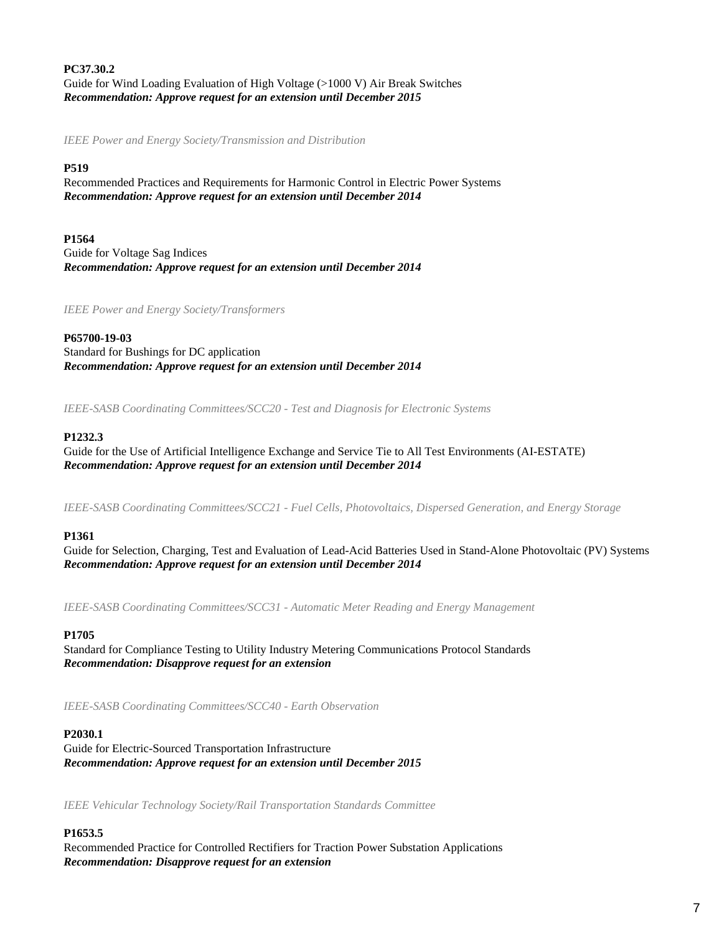**PC37.30.2** Guide for Wind Loading Evaluation of High Voltage (>1000 V) Air Break Switches *Recommendation: Approve request for an extension until December 2015*

*IEEE Power and Energy Society/Transmission and Distribution*

# **P519**

Recommended Practices and Requirements for Harmonic Control in Electric Power Systems *Recommendation: Approve request for an extension until December 2014*

**P1564** Guide for Voltage Sag Indices *Recommendation: Approve request for an extension until December 2014*

*IEEE Power and Energy Society/Transformers*

**P65700-19-03** Standard for Bushings for DC application *Recommendation: Approve request for an extension until December 2014*

*IEEE-SASB Coordinating Committees/SCC20 - Test and Diagnosis for Electronic Systems*

# **P1232.3**

Guide for the Use of Artificial Intelligence Exchange and Service Tie to All Test Environments (AI-ESTATE) *Recommendation: Approve request for an extension until December 2014*

*IEEE-SASB Coordinating Committees/SCC21 - Fuel Cells, Photovoltaics, Dispersed Generation, and Energy Storage*

# **P1361**

Guide for Selection, Charging, Test and Evaluation of Lead-Acid Batteries Used in Stand-Alone Photovoltaic (PV) Systems *Recommendation: Approve request for an extension until December 2014*

*IEEE-SASB Coordinating Committees/SCC31 - Automatic Meter Reading and Energy Management*

#### **P1705**

Standard for Compliance Testing to Utility Industry Metering Communications Protocol Standards *Recommendation: Disapprove request for an extension*

*IEEE-SASB Coordinating Committees/SCC40 - Earth Observation*

#### **P2030.1**

Guide for Electric-Sourced Transportation Infrastructure *Recommendation: Approve request for an extension until December 2015*

*IEEE Vehicular Technology Society/Rail Transportation Standards Committee*

# **P1653.5**

Recommended Practice for Controlled Rectifiers for Traction Power Substation Applications *Recommendation: Disapprove request for an extension*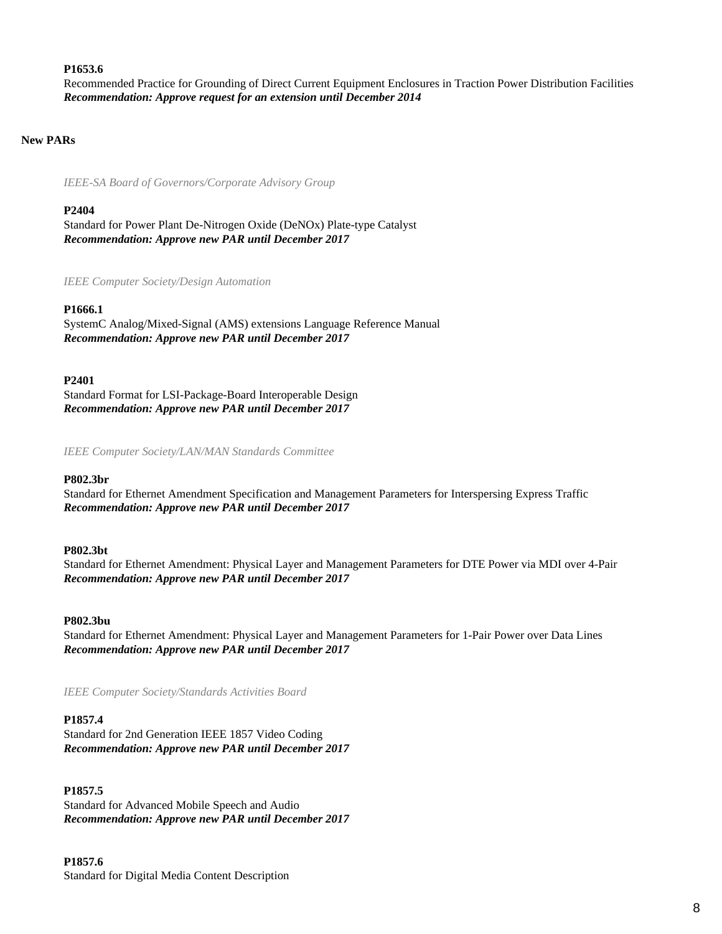#### **P1653.6**

Recommended Practice for Grounding of Direct Current Equipment Enclosures in Traction Power Distribution Facilities *Recommendation: Approve request for an extension until December 2014*

#### **New PARs**

*IEEE-SA Board of Governors/Corporate Advisory Group*

#### **P2404**

Standard for Power Plant De-Nitrogen Oxide (DeNOx) Plate-type Catalyst *Recommendation: Approve new PAR until December 2017*

*IEEE Computer Society/Design Automation*

#### **P1666.1**

SystemC Analog/Mixed-Signal (AMS) extensions Language Reference Manual *Recommendation: Approve new PAR until December 2017*

#### **P2401**

Standard Format for LSI-Package-Board Interoperable Design *Recommendation: Approve new PAR until December 2017*

*IEEE Computer Society/LAN/MAN Standards Committee*

#### **P802.3br**

Standard for Ethernet Amendment Specification and Management Parameters for Interspersing Express Traffic *Recommendation: Approve new PAR until December 2017*

#### **P802.3bt**

Standard for Ethernet Amendment: Physical Layer and Management Parameters for DTE Power via MDI over 4-Pair *Recommendation: Approve new PAR until December 2017*

#### **P802.3bu**

Standard for Ethernet Amendment: Physical Layer and Management Parameters for 1-Pair Power over Data Lines *Recommendation: Approve new PAR until December 2017*

*IEEE Computer Society/Standards Activities Board*

#### **P1857.4**

Standard for 2nd Generation IEEE 1857 Video Coding *Recommendation: Approve new PAR until December 2017*

#### **P1857.5**

Standard for Advanced Mobile Speech and Audio *Recommendation: Approve new PAR until December 2017*

#### **P1857.6**

Standard for Digital Media Content Description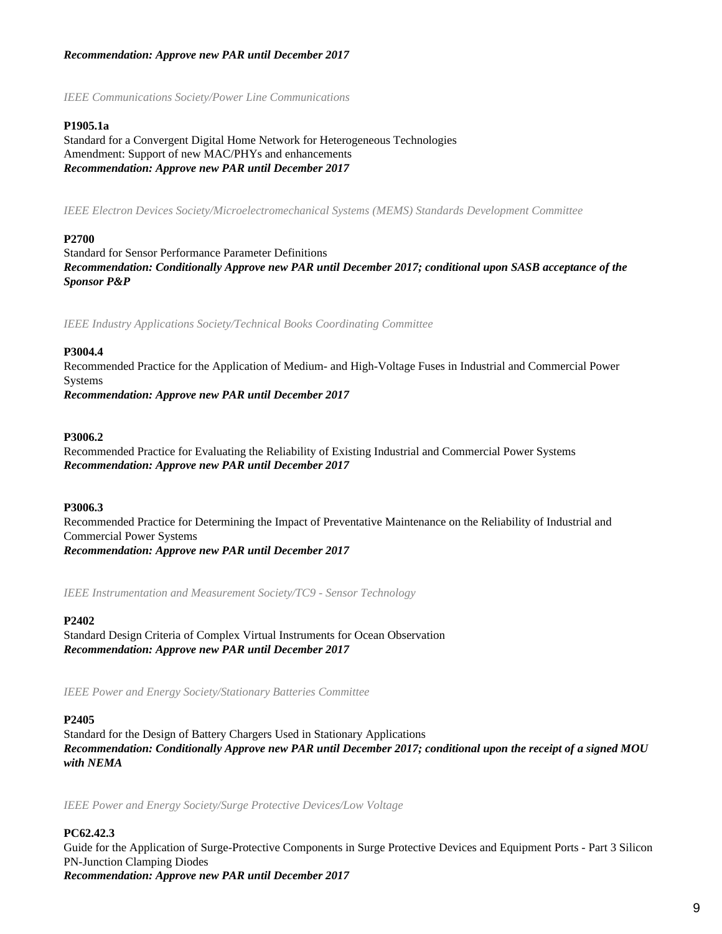# *Recommendation: Approve new PAR until December 2017*

*IEEE Communications Society/Power Line Communications*

# **P1905.1a**

Standard for a Convergent Digital Home Network for Heterogeneous Technologies Amendment: Support of new MAC/PHYs and enhancements *Recommendation: Approve new PAR until December 2017*

*IEEE Electron Devices Society/Microelectromechanical Systems (MEMS) Standards Development Committee*

#### **P2700**

Standard for Sensor Performance Parameter Definitions *Recommendation: Conditionally Approve new PAR until December 2017; conditional upon SASB acceptance of the Sponsor P&P*

*IEEE Industry Applications Society/Technical Books Coordinating Committee*

#### **P3004.4**

Recommended Practice for the Application of Medium- and High-Voltage Fuses in Industrial and Commercial Power Systems

*Recommendation: Approve new PAR until December 2017*

#### **P3006.2**

Recommended Practice for Evaluating the Reliability of Existing Industrial and Commercial Power Systems *Recommendation: Approve new PAR until December 2017*

# **P3006.3**

Recommended Practice for Determining the Impact of Preventative Maintenance on the Reliability of Industrial and Commercial Power Systems *Recommendation: Approve new PAR until December 2017*

*IEEE Instrumentation and Measurement Society/TC9 - Sensor Technology*

#### **P2402**

Standard Design Criteria of Complex Virtual Instruments for Ocean Observation *Recommendation: Approve new PAR until December 2017*

*IEEE Power and Energy Society/Stationary Batteries Committee*

#### **P2405**

Standard for the Design of Battery Chargers Used in Stationary Applications *Recommendation: Conditionally Approve new PAR until December 2017; conditional upon the receipt of a signed MOU with NEMA*

*IEEE Power and Energy Society/Surge Protective Devices/Low Voltage*

# **PC62.42.3**

Guide for the Application of Surge-Protective Components in Surge Protective Devices and Equipment Ports - Part 3 Silicon PN-Junction Clamping Diodes *Recommendation: Approve new PAR until December 2017*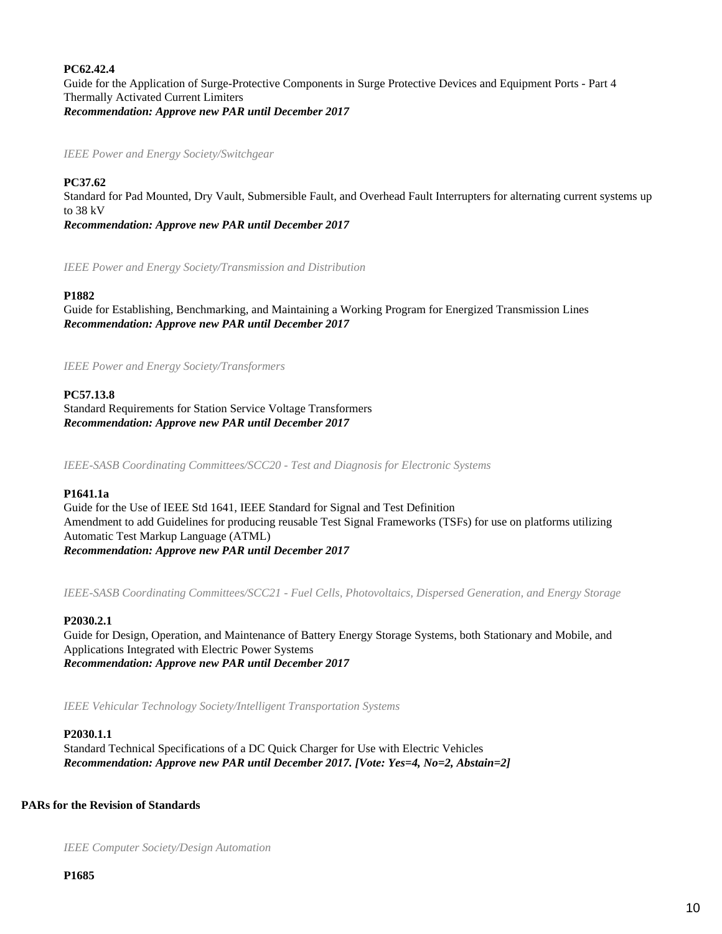# **PC62.42.4**

Guide for the Application of Surge-Protective Components in Surge Protective Devices and Equipment Ports - Part 4 Thermally Activated Current Limiters *Recommendation: Approve new PAR until December 2017*

*IEEE Power and Energy Society/Switchgear*

# **PC37.62**

Standard for Pad Mounted, Dry Vault, Submersible Fault, and Overhead Fault Interrupters for alternating current systems up to 38 kV

*Recommendation: Approve new PAR until December 2017*

*IEEE Power and Energy Society/Transmission and Distribution*

#### **P1882**

Guide for Establishing, Benchmarking, and Maintaining a Working Program for Energized Transmission Lines *Recommendation: Approve new PAR until December 2017*

*IEEE Power and Energy Society/Transformers*

#### **PC57.13.8**

Standard Requirements for Station Service Voltage Transformers *Recommendation: Approve new PAR until December 2017*

*IEEE-SASB Coordinating Committees/SCC20 - Test and Diagnosis for Electronic Systems*

#### **P1641.1a**

Guide for the Use of IEEE Std 1641, IEEE Standard for Signal and Test Definition Amendment to add Guidelines for producing reusable Test Signal Frameworks (TSFs) for use on platforms utilizing Automatic Test Markup Language (ATML) *Recommendation: Approve new PAR until December 2017*

*IEEE-SASB Coordinating Committees/SCC21 - Fuel Cells, Photovoltaics, Dispersed Generation, and Energy Storage*

#### **P2030.2.1**

Guide for Design, Operation, and Maintenance of Battery Energy Storage Systems, both Stationary and Mobile, and Applications Integrated with Electric Power Systems *Recommendation: Approve new PAR until December 2017*

*IEEE Vehicular Technology Society/Intelligent Transportation Systems*

#### **P2030.1.1**

Standard Technical Specifications of a DC Quick Charger for Use with Electric Vehicles *Recommendation: Approve new PAR until December 2017. [Vote: Yes=4, No=2, Abstain=2]*

# **PARs for the Revision of Standards**

*IEEE Computer Society/Design Automation*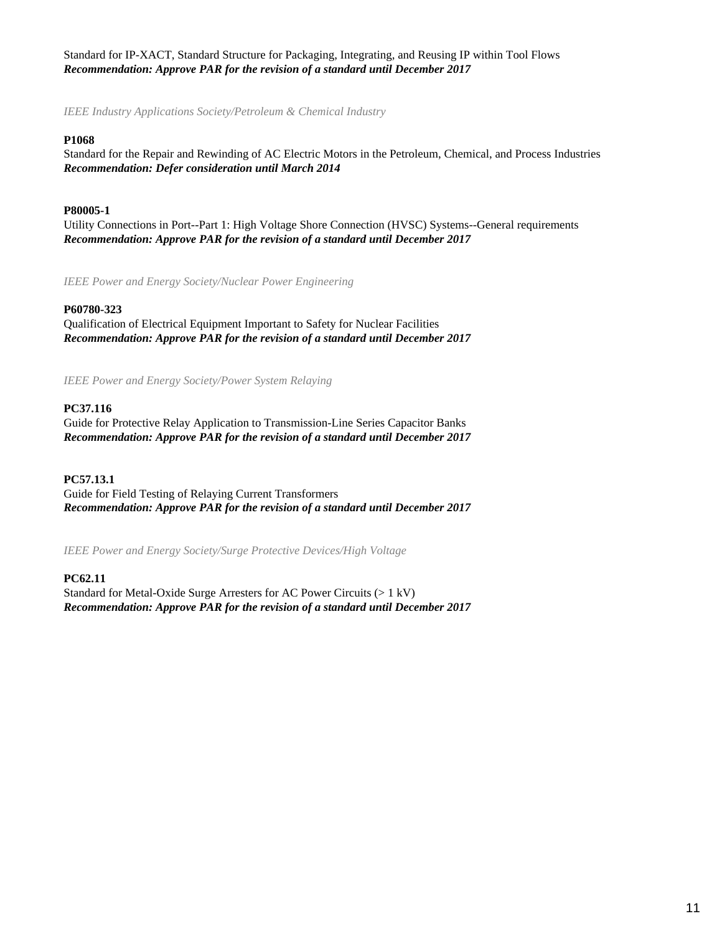Standard for IP-XACT, Standard Structure for Packaging, Integrating, and Reusing IP within Tool Flows *Recommendation: Approve PAR for the revision of a standard until December 2017*

*IEEE Industry Applications Society/Petroleum & Chemical Industry*

# **P1068**

Standard for the Repair and Rewinding of AC Electric Motors in the Petroleum, Chemical, and Process Industries *Recommendation: Defer consideration until March 2014*

# **P80005-1**

Utility Connections in Port--Part 1: High Voltage Shore Connection (HVSC) Systems--General requirements *Recommendation: Approve PAR for the revision of a standard until December 2017*

*IEEE Power and Energy Society/Nuclear Power Engineering*

# **P60780-323**

Qualification of Electrical Equipment Important to Safety for Nuclear Facilities *Recommendation: Approve PAR for the revision of a standard until December 2017*

*IEEE Power and Energy Society/Power System Relaying*

# **PC37.116**

Guide for Protective Relay Application to Transmission-Line Series Capacitor Banks *Recommendation: Approve PAR for the revision of a standard until December 2017*

# **PC57.13.1**

Guide for Field Testing of Relaying Current Transformers *Recommendation: Approve PAR for the revision of a standard until December 2017*

*IEEE Power and Energy Society/Surge Protective Devices/High Voltage*

# **PC62.11**

Standard for Metal-Oxide Surge Arresters for AC Power Circuits (> 1 kV) *Recommendation: Approve PAR for the revision of a standard until December 2017*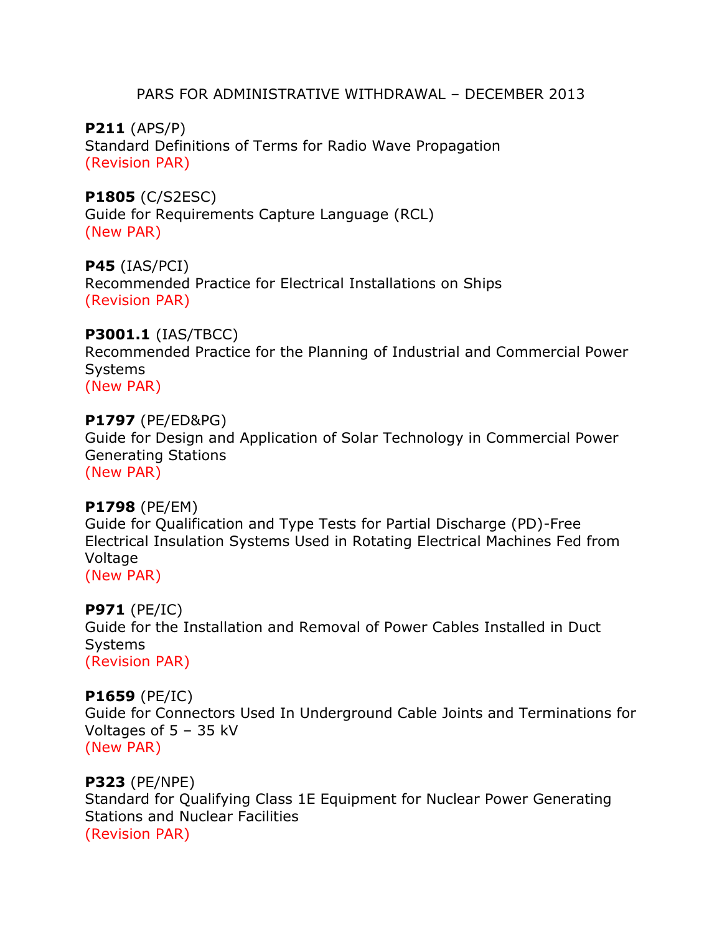# PARS FOR ADMINISTRATIVE WITHDRAWAL – DECEMBER 2013

**P211** (APS/P) Standard Definitions of Terms for Radio Wave Propagation (Revision PAR)

**P1805** (C/S2ESC) Guide for Requirements Capture Language (RCL) (New PAR)

**P45** (IAS/PCI) Recommended Practice for Electrical Installations on Ships (Revision PAR)

**P3001.1** (IAS/TBCC) Recommended Practice for the Planning of Industrial and Commercial Power **Systems** (New PAR)

**P1797** (PE/ED&PG) Guide for Design and Application of Solar Technology in Commercial Power Generating Stations (New PAR)

# **P1798** (PE/EM) Guide for Qualification and Type Tests for Partial Discharge (PD)-Free Electrical Insulation Systems Used in Rotating Electrical Machines Fed from Voltage (New PAR)

**P971** (PE/IC) Guide for the Installation and Removal of Power Cables Installed in Duct **Systems** (Revision PAR)

**P1659** (PE/IC) Guide for Connectors Used In Underground Cable Joints and Terminations for Voltages of 5 – 35 kV (New PAR)

**P323** (PE/NPE) Standard for Qualifying Class 1E Equipment for Nuclear Power Generating Stations and Nuclear Facilities (Revision PAR)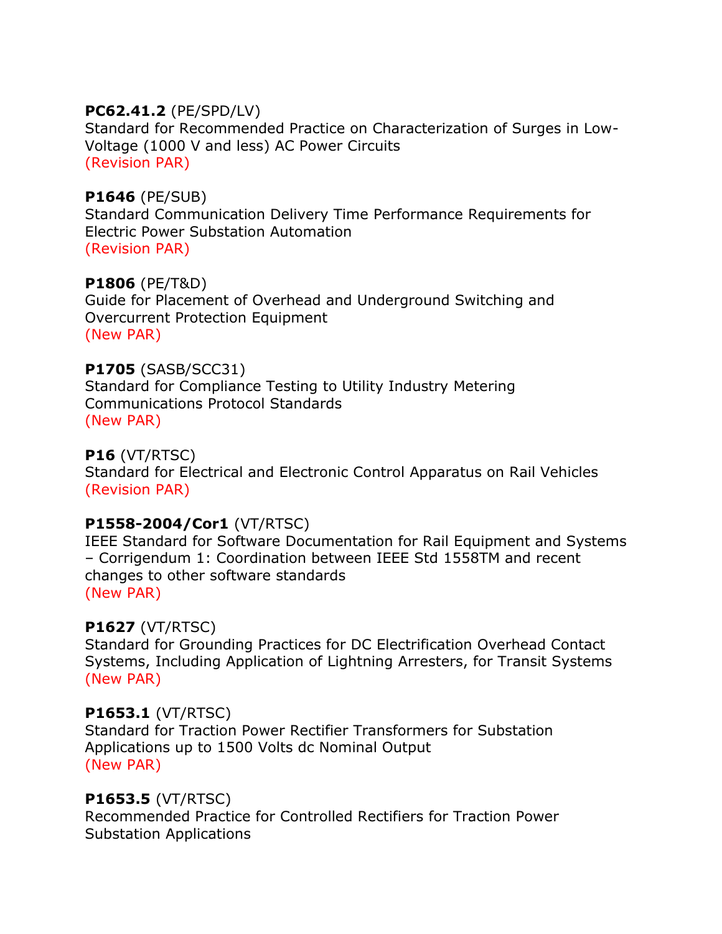# **PC62.41.2** (PE/SPD/LV)

Standard for Recommended Practice on Characterization of Surges in Low-Voltage (1000 V and less) AC Power Circuits (Revision PAR)

# **P1646** (PE/SUB)

Standard Communication Delivery Time Performance Requirements for Electric Power Substation Automation (Revision PAR)

# **P1806** (PE/T&D)

Guide for Placement of Overhead and Underground Switching and Overcurrent Protection Equipment (New PAR)

# **P1705** (SASB/SCC31)

Standard for Compliance Testing to Utility Industry Metering Communications Protocol Standards (New PAR)

# **P16** (VT/RTSC)

Standard for Electrical and Electronic Control Apparatus on Rail Vehicles (Revision PAR)

# **P1558-2004/Cor1** (VT/RTSC)

IEEE Standard for Software Documentation for Rail Equipment and Systems – Corrigendum 1: Coordination between IEEE Std 1558TM and recent changes to other software standards (New PAR)

# **P1627** (VT/RTSC)

Standard for Grounding Practices for DC Electrification Overhead Contact Systems, Including Application of Lightning Arresters, for Transit Systems (New PAR)

# **P1653.1** (VT/RTSC)

Standard for Traction Power Rectifier Transformers for Substation Applications up to 1500 Volts dc Nominal Output (New PAR)

# **P1653.5** (VT/RTSC)

Recommended Practice for Controlled Rectifiers for Traction Power Substation Applications